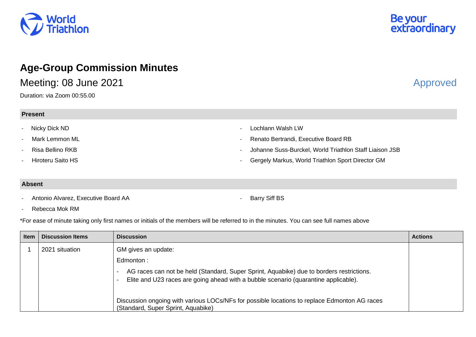

# **Age-Group Commission Minutes**

Meeting: 08 June 2021 **Approved** 

Duration: via Zoom 00:55.00

**Present**

## - Nicky Dick ND

Mark Lemmon ML

- Risa Bellino RKB
- Hiroteru Saito HS

- Lochlann Walsh LW

- Renato Bertrandi, Executive Board RB

- Johanne Suss-Burckel, World Triathlon Staff Liaison JSB
- Gergely Markus, World Triathlon Sport Director GM

### **Absent**

- Antonio Alvarez, Executive Board AA

Barry Siff BS

- Rebecca Mok RM

\*For ease of minute taking only first names or initials of the members will be referred to in the minutes. You can see full names above

| <b>Item</b> | <b>Discussion Items</b> | <b>Discussion</b>                                                                                                                                                               | <b>Actions</b> |
|-------------|-------------------------|---------------------------------------------------------------------------------------------------------------------------------------------------------------------------------|----------------|
|             | 2021 situation          | GM gives an update:<br>Edmonton:                                                                                                                                                |                |
|             |                         | AG races can not be held (Standard, Super Sprint, Aquabike) due to borders restrictions.<br>Elite and U23 races are going ahead with a bubble scenario (quarantine applicable). |                |
|             |                         | Discussion ongoing with various LOCs/NFs for possible locations to replace Edmonton AG races<br>(Standard, Super Sprint, Aquabike)                                              |                |

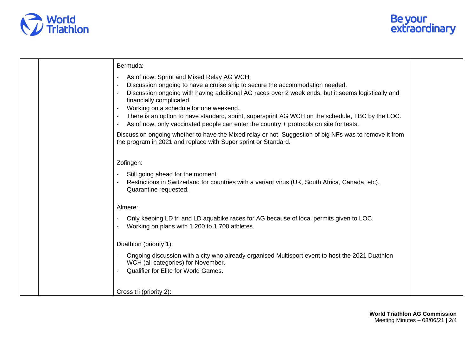



|  | Bermuda:                                                                                                                                                                      |  |
|--|-------------------------------------------------------------------------------------------------------------------------------------------------------------------------------|--|
|  | As of now: Sprint and Mixed Relay AG WCH.                                                                                                                                     |  |
|  | Discussion ongoing to have a cruise ship to secure the accommodation needed.                                                                                                  |  |
|  | Discussion ongoing with having additional AG races over 2 week ends, but it seems logistically and                                                                            |  |
|  | financially complicated.<br>Working on a schedule for one weekend.                                                                                                            |  |
|  | There is an option to have standard, sprint, supersprint AG WCH on the schedule, TBC by the LOC.                                                                              |  |
|  | As of now, only vaccinated people can enter the country + protocols on site for tests.                                                                                        |  |
|  | Discussion ongoing whether to have the Mixed relay or not. Suggestion of big NFs was to remove it from<br>the program in 2021 and replace with Super sprint or Standard.      |  |
|  | Zofingen:                                                                                                                                                                     |  |
|  | Still going ahead for the moment                                                                                                                                              |  |
|  | Restrictions in Switzerland for countries with a variant virus (UK, South Africa, Canada, etc).<br>Quarantine requested.                                                      |  |
|  | Almere:                                                                                                                                                                       |  |
|  | Only keeping LD tri and LD aquabike races for AG because of local permits given to LOC.<br>Working on plans with 1 200 to 1 700 athletes.                                     |  |
|  | Duathlon (priority 1):                                                                                                                                                        |  |
|  | Ongoing discussion with a city who already organised Multisport event to host the 2021 Duathlon<br>WCH (all categories) for November.<br>Qualifier for Elite for World Games. |  |
|  |                                                                                                                                                                               |  |
|  | Cross tri (priority 2):                                                                                                                                                       |  |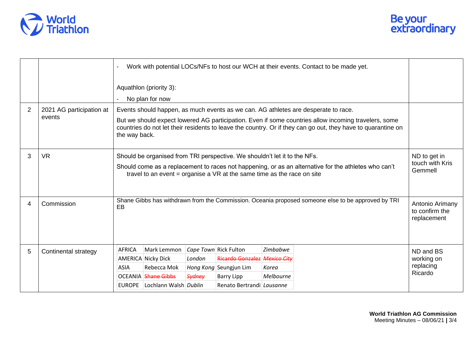



|   |                          | Work with potential LOCs/NFs to host our WCH at their events. Contact to be made yet.<br>Aquathlon (priority 3):                                                                                                                                                                                                                                        |                                                  |
|---|--------------------------|---------------------------------------------------------------------------------------------------------------------------------------------------------------------------------------------------------------------------------------------------------------------------------------------------------------------------------------------------------|--------------------------------------------------|
|   |                          | No plan for now                                                                                                                                                                                                                                                                                                                                         |                                                  |
| 2 | 2021 AG participation at | Events should happen, as much events as we can. AG athletes are desperate to race.                                                                                                                                                                                                                                                                      |                                                  |
|   | events                   | But we should expect lowered AG participation. Even if some countries allow incoming travelers, some<br>countries do not let their residents to leave the country. Or if they can go out, they have to quarantine on<br>the way back.                                                                                                                   |                                                  |
| 3 | <b>VR</b>                | Should be organised from TRI perspective. We shouldn't let it to the NFs.<br>Should come as a replacement to races not happening, or as an alternative for the athletes who can't<br>travel to an event = organise a VR at the same time as the race on site                                                                                            | ND to get in<br>touch with Kris<br>Gemmell       |
| 4 | Commission               | Shane Gibbs has withdrawn from the Commission. Oceania proposed someone else to be approved by TRI<br>EB                                                                                                                                                                                                                                                | Antonio Arimany<br>to confirm the<br>replacement |
| 5 | Continental strategy     | Zimbabwe<br>Mark Lemmon<br><i>Cape Town</i> Rick Fulton<br><b>AFRICA</b><br>Ricardo Gonzalez Mexico City<br>AMERICA Nicky Dick<br>London<br><b>ASIA</b><br>Rebecca Mok<br>Hong Kong Seungjun Lim<br>Korea<br><b>OCEANIA</b> Shane Gibbs<br><b>Sydney</b><br>Melbourne<br><b>Barry Lipp</b><br>EUROPE Lochlann Walsh Dublin<br>Renato Bertrandi Lausanne | ND and BS<br>working on<br>replacing<br>Ricardo  |